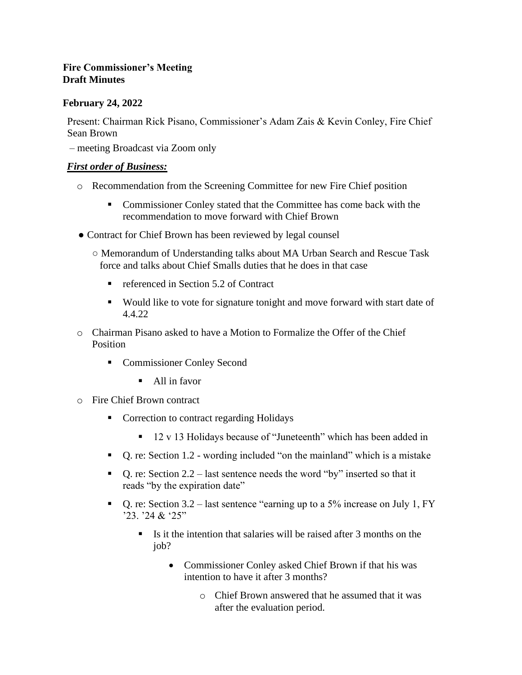# **Fire Commissioner's Meeting Draft Minutes**

# **February 24, 2022**

Present: Chairman Rick Pisano, Commissioner's Adam Zais & Kevin Conley, Fire Chief Sean Brown

– meeting Broadcast via Zoom only

## *First order of Business:*

- o Recommendation from the Screening Committee for new Fire Chief position
	- Commissioner Conley stated that the Committee has come back with the recommendation to move forward with Chief Brown
- Contract for Chief Brown has been reviewed by legal counsel
	- Memorandum of Understanding talks about MA Urban Search and Rescue Task force and talks about Chief Smalls duties that he does in that case
		- referenced in Section 5.2 of Contract
		- Would like to vote for signature tonight and move forward with start date of 4.4.22
- o Chairman Pisano asked to have a Motion to Formalize the Offer of the Chief Position
	- Commissioner Conley Second
		- All in favor
- o Fire Chief Brown contract
	- Correction to contract regarding Holidays
		- 12 v 13 Holidays because of "Juneteenth" which has been added in
	- Q. re: Section 1.2 wording included "on the mainland" which is a mistake
	- **•** Q. re: Section 2.2 last sentence needs the word "by" inserted so that it reads "by the expiration date"
	- **•** Q. re: Section 3.2 last sentence "earning up to a 5% increase on July 1, FY '23. '24 & '25"
		- Is it the intention that salaries will be raised after 3 months on the iob?
			- Commissioner Conley asked Chief Brown if that his was intention to have it after 3 months?
				- o Chief Brown answered that he assumed that it was after the evaluation period.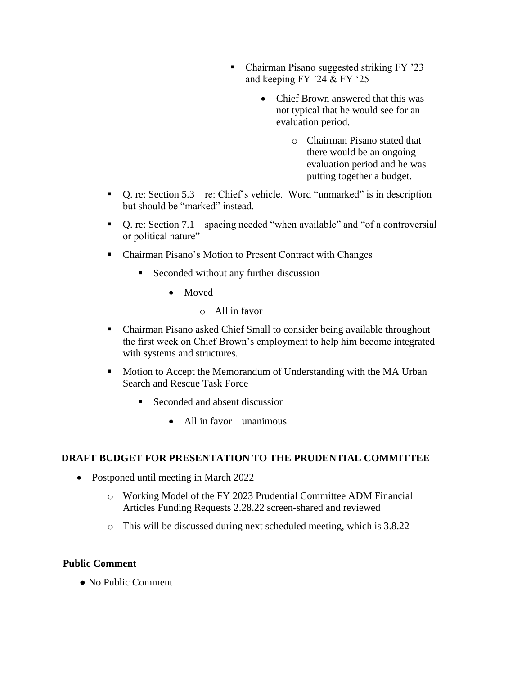- Chairman Pisano suggested striking FY '23 and keeping FY '24 & FY '25
	- Chief Brown answered that this was not typical that he would see for an evaluation period.
		- o Chairman Pisano stated that there would be an ongoing evaluation period and he was putting together a budget.
- **•** Q. re: Section  $5.3$  re: Chief's vehicle. Word "unmarked" is in description but should be "marked" instead.
- Q. re: Section 7.1 spacing needed "when available" and "of a controversial or political nature"
- Chairman Pisano's Motion to Present Contract with Changes
	- Seconded without any further discussion
		- Moved
			- o All in favor
- Chairman Pisano asked Chief Small to consider being available throughout the first week on Chief Brown's employment to help him become integrated with systems and structures.
- Motion to Accept the Memorandum of Understanding with the MA Urban Search and Rescue Task Force
	- Seconded and absent discussion
		- All in favor unanimous

#### **DRAFT BUDGET FOR PRESENTATION TO THE PRUDENTIAL COMMITTEE**

- Postponed until meeting in March 2022
	- o Working Model of the FY 2023 Prudential Committee ADM Financial Articles Funding Requests 2.28.22 screen-shared and reviewed
	- o This will be discussed during next scheduled meeting, which is 3.8.22

#### **Public Comment**

● No Public Comment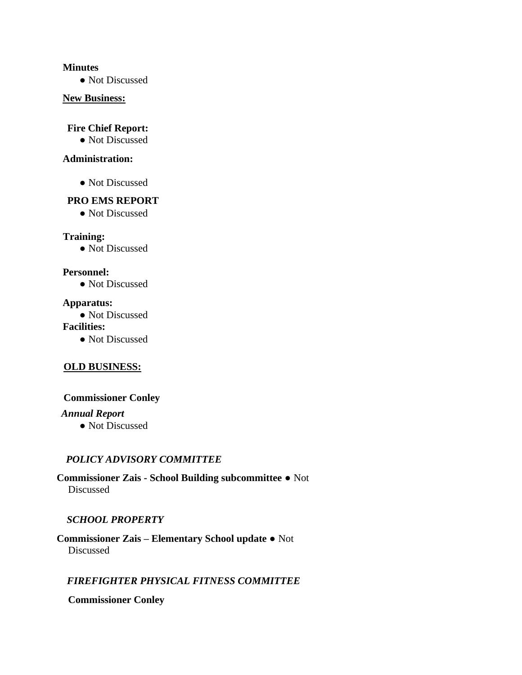#### **Minutes**

• Not Discussed

#### **New Business:**

## **Fire Chief Report:**

• Not Discussed

## **Administration:**

• Not Discussed

#### **PRO EMS REPORT**

• Not Discussed

#### **Training:**

• Not Discussed

#### **Personnel:**

**●** Not Discussed

#### **Apparatus:**

● Not Discussed

#### **Facilities:**

• Not Discussed

#### **OLD BUSINESS:**

#### **Commissioner Conley**

## *Annual Report*

**●** Not Discussed

# *POLICY ADVISORY COMMITTEE*

**Commissioner Zais - School Building subcommittee ●** Not Discussed

#### *SCHOOL PROPERTY*

**Commissioner Zais – Elementary School update ●** Not Discussed

# *FIREFIGHTER PHYSICAL FITNESS COMMITTEE*

**Commissioner Conley**